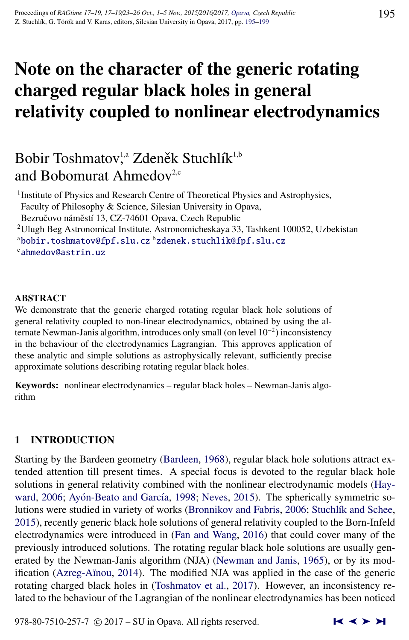# Note on the character of the generic rotating charged regular black holes in general relativity coupled to nonlinear electrodynamics

# Bobir Toshmatov<sup>1,a</sup> Zdeněk Stuchlík<sup>1,b</sup> and Bobomurat Ahmedov<sup>2,c</sup>

<sup>1</sup> Institute of Physics and Research Centre of Theoretical Physics and Astrophysics, Faculty of Philosophy & Science, Silesian University in Opava,

Bezručovo náměstí 13, CZ-74601 Opava, Czech Republic

<sup>2</sup>Ulugh Beg Astronomical Institute, Astronomicheskaya 33, Tashkent 100052, Uzbekistan

a[bobir.toshmatov@fpf.slu.cz](http://www.physics.cz/ bobir.toshmatov@fpf.slu.cz) b[zdenek.stuchlik@fpf.slu.cz](http://www.physics.cz/ zdenek.stuchlik@fpf.slu.cz) <sup>c</sup>[ahmedov@astrin.uz](http://www.physics.cz/ ahmedov@astrin.uz)

### ABSTRACT

We demonstrate that the generic charged rotating regular black hole solutions of general relativity coupled to non-linear electrodynamics, obtained by using the alternate Newman-Janis algorithm, introduces only small (on level 10<sup>−</sup><sup>2</sup> ) inconsistency in the behaviour of the electrodynamics Lagrangian. This approves application of these analytic and simple solutions as astrophysically relevant, sufficiently precise approximate solutions describing rotating regular black holes.

Keywords: nonlinear electrodynamics – regular black holes – Newman-Janis algorithm

# 1 INTRODUCTION

Starting by the Bardeen geometry [\(Bardeen,](#page-3-0) [1968\)](#page-3-0), regular black hole solutions attract extended attention till present times. A special focus is devoted to the regular black hole solutions in general relativity combined with the nonlinear electrodynamic models [\(Hay](#page-4-0)[ward,](#page-4-0) [2006;](#page-4-0) Ayón-Beato and García, [1998;](#page-3-0) [Neves,](#page-4-0) [2015\)](#page-4-0). The spherically symmetric so-lutions were studied in variety of works [\(Bronnikov and Fabris,](#page-4-0) [2006;](#page-4-0) Stuchlík and Schee, [2015\)](#page-4-0), recently generic black hole solutions of general relativity coupled to the Born-Infeld electrodynamics were introduced in [\(Fan and Wang,](#page-4-0) [2016\)](#page-4-0) that could cover many of the previously introduced solutions. The rotating regular black hole solutions are usually generated by the Newman-Janis algorithm (NJA) [\(Newman and Janis,](#page-4-0) [1965\)](#page-4-0), or by its modification [\(Azreg-A¨ınou,](#page-3-0) [2014\)](#page-3-0). The modified NJA was applied in the case of the generic rotating charged black holes in [\(Toshmatov et al.,](#page-4-0) [2017\)](#page-4-0). However, an inconsistency related to the behaviour of the Lagrangian of the nonlinear electrodynamics has been noticed

978-80-7510-257-7  $\odot$  2017 – SU in Opava. All rights reserved.  $\blacksquare$   $\blacktriangle$   $\blacktriangleright$   $\blacktriangleright$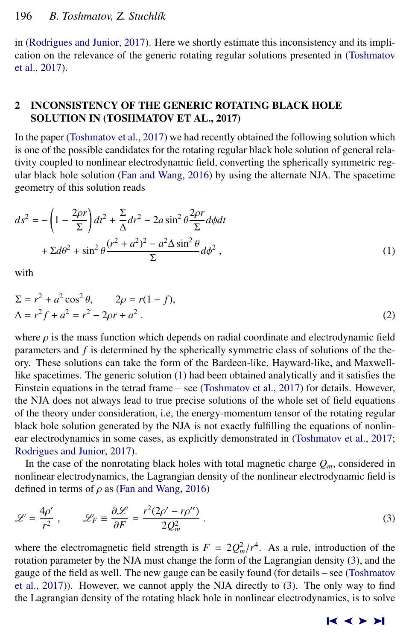<span id="page-1-0"></span>in [\(Rodrigues and Junior,](#page-4-0) [2017\)](#page-4-0). Here we shortly estimate this inconsistency and its implication on the relevance of the generic rotating regular solutions presented in [\(Toshmatov](#page-4-0) [et al.,](#page-4-0) [2017\)](#page-4-0).

# 2 INCONSISTENCY OF THE GENERIC ROTATING BLACK HOLE SOLUTION IN (TOSHMATOV ET AL., 2017)

In the paper [\(Toshmatov et al.,](#page-4-0) [2017\)](#page-4-0) we had recently obtained the following solution which is one of the possible candidates for the rotating regular black hole solution of general relativity coupled to nonlinear electrodynamic field, converting the spherically symmetric regular black hole solution [\(Fan and Wang,](#page-4-0) [2016\)](#page-4-0) by using the alternate NJA. The spacetime geometry of this solution reads

$$
ds^{2} = -\left(1 - \frac{2\rho r}{\Sigma}\right)dt^{2} + \frac{\Sigma}{\Delta}dr^{2} - 2a\sin^{2}\theta\frac{2\rho r}{\Sigma}d\phi dt
$$

$$
+ \Sigma d\theta^{2} + \sin^{2}\theta\frac{(r^{2} + a^{2})^{2} - a^{2}\Delta\sin^{2}\theta}{\Sigma}d\phi^{2}, \qquad (1)
$$

with

$$
\Sigma = r^2 + a^2 \cos^2 \theta, \qquad 2\rho = r(1 - f), \n\Delta = r^2 f + a^2 = r^2 - 2\rho r + a^2.
$$
\n(2)

where  $\rho$  is the mass function which depends on radial coordinate and electrodynamic field parameters and *f* is determined by the spherically symmetric class of solutions of the theory. These solutions can take the form of the Bardeen-like, Hayward-like, and Maxwelllike spacetimes. The generic solution (1) had been obtained analytically and it satisfies the Einstein equations in the tetrad frame – see [\(Toshmatov et al.,](#page-4-0) [2017\)](#page-4-0) for details. However, the NJA does not always lead to true precise solutions of the whole set of field equations of the theory under consideration, i.e, the energy-momentum tensor of the rotating regular black hole solution generated by the NJA is not exactly fulfilling the equations of nonlinear electrodynamics in some cases, as explicitly demonstrated in [\(Toshmatov et al.,](#page-4-0) [2017;](#page-4-0) [Rodrigues and Junior,](#page-4-0) [2017\)](#page-4-0).

In the case of the nonrotating black holes with total magnetic charge  $Q_m$ , considered in nonlinear electrodynamics, the Lagrangian density of the nonlinear electrodynamic field is defined in terms of  $\rho$  as [\(Fan and Wang,](#page-4-0) [2016\)](#page-4-0)

$$
\mathcal{L} = \frac{4\rho'}{r^2}, \qquad \mathcal{L}_F = \frac{\partial \mathcal{L}}{\partial F} = \frac{r^2(2\rho' - r\rho'')}{2Q_m^2} \,. \tag{3}
$$

where the electromagnetic field strength is  $F = 2Q_m^2/r^4$ . As a rule, introduction of the rotation parameter by the NIA must change the form of the Lagrangian density (3) and the rotation parameter by the NJA must change the form of the Lagrangian density (3), and the gauge of the field as well. The new gauge can be easily found (for details – see [\(Toshmatov](#page-4-0) [et al.,](#page-4-0) [2017\)](#page-4-0)). However, we cannot apply the NJA directly to (3). The only way to find the Lagrangian density of the rotating black hole in nonlinear electrodynamics, is to solve

#### ➤❙ ➤➤ ➤❙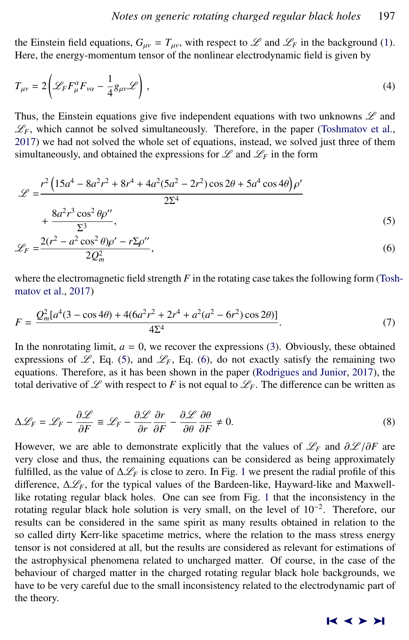the Einstein field equations,  $G_{\mu\nu} = T_{\mu\nu}$ , with respect to  $\mathscr L$  and  $\mathscr L_F$  in the background [\(1\)](#page-1-0). Here, the energy-momentum tensor of the nonlinear electrodynamic field is given by

$$
T_{\mu\nu} = 2 \left( \mathcal{L}_F F_{\mu}^{\alpha} F_{\nu\alpha} - \frac{1}{4} g_{\mu\nu} \mathcal{L} \right), \qquad (4)
$$

Thus, the Einstein equations give five independent equations with two unknowns  $\mathscr L$  and  $\mathscr{L}_F$ , which cannot be solved simultaneously. Therefore, in the paper [\(Toshmatov et al.,](#page-4-0) [2017\)](#page-4-0) we had not solved the whole set of equations, instead, we solved just three of them simultaneously, and obtained the expressions for  $\mathscr L$  and  $\mathscr L_F$  in the form

$$
\mathcal{L} = \frac{r^2 \left(15a^4 - 8a^2r^2 + 8r^4 + 4a^2(5a^2 - 2r^2)\cos 2\theta + 5a^4\cos 4\theta\right)\rho'}{2\Sigma^4} + \frac{8a^2r^3\cos^2\theta\rho''}{\Sigma^3},
$$
\n(5)

$$
\mathcal{L}_F = \frac{2(r^2 - a^2\cos^2\theta)\rho' - r\Sigma\rho''}{2Q_m^2},\tag{6}
$$

where the electromagnetic field strength  $F$  in the rotating case takes the following form [\(Tosh](#page-4-0)[matov et al.,](#page-4-0) [2017\)](#page-4-0)

$$
F = \frac{Q_m^2 [a^4 (3 - \cos 4\theta) + 4(6a^2 r^2 + 2r^4 + a^2 (a^2 - 6r^2) \cos 2\theta)]}{4\Sigma^4}.
$$
 (7)

In the nonrotating limit,  $a = 0$ , we recover the expressions [\(3\)](#page-1-0). Obviously, these obtained expressions of  $\mathcal{L}$ , Eq. (5), and  $\mathcal{L}_F$ , Eq. (6), do not exactly satisfy the remaining two equations. Therefore, as it has been shown in the paper [\(Rodrigues and Junior,](#page-4-0) [2017\)](#page-4-0), the total derivative of  $\mathscr L$  with respect to F is not equal to  $\mathscr L_F$ . The difference can be written as

$$
\Delta \mathcal{L}_F = \mathcal{L}_F - \frac{\partial \mathcal{L}}{\partial F} \equiv \mathcal{L}_F - \frac{\partial \mathcal{L}}{\partial r} \frac{\partial r}{\partial F} - \frac{\partial \mathcal{L}}{\partial \theta} \frac{\partial \theta}{\partial F} \neq 0.
$$
\n(8)

However, we are able to demonstrate explicitly that the values of  $\mathcal{L}_F$  and  $\partial \mathcal{L}/\partial F$  are very close and thus the remaining equations can be considered as being approximately very close and thus, the remaining equations can be considered as being approximately fulfilled, as the value of  $\Delta \mathcal{L}_F$  is close to zero. In Fig. [1](#page-3-0) we present the radial profile of this difference,  $\Delta \mathcal{L}_F$ , for the typical values of the Bardeen-like, Hayward-like and Maxwelllike rotating regular black holes. One can see from Fig. [1](#page-3-0) that the inconsistency in the rotating regular black hole solution is very small, on the level of 10<sup>−</sup><sup>2</sup> . Therefore, our results can be considered in the same spirit as many results obtained in relation to the so called dirty Kerr-like spacetime metrics, where the relation to the mass stress energy tensor is not considered at all, but the results are considered as relevant for estimations of the astrophysical phenomena related to uncharged matter. Of course, in the case of the behaviour of charged matter in the charged rotating regular black hole backgrounds, we have to be very careful due to the small inconsistency related to the electrodynamic part of the theory.

#### ➤❙ ➤➤ ➤❙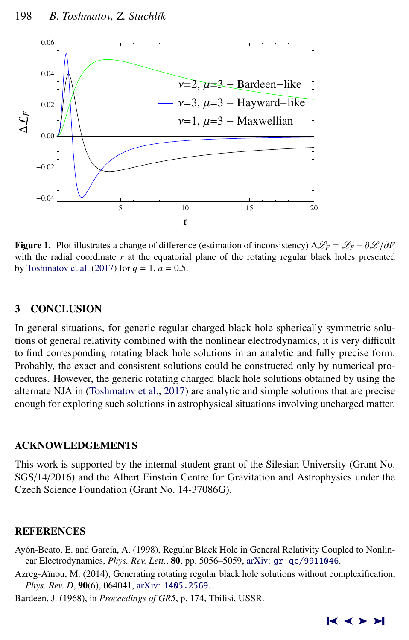<span id="page-3-0"></span>

**Figure 1.** Plot illustrates a change of difference (estimation of inconsistency)  $\Delta \mathscr{L}_F = \mathscr{L}_F - \partial \mathscr{L}/\partial F$ with the radial coordinate  $r$  at the equatorial plane of the rotating regular black holes presented by [Toshmatov et al.](#page-4-0) [\(2017\)](#page-4-0) for  $q = 1$ ,  $a = 0.5$ .

## 3 CONCLUSION

In general situations, for generic regular charged black hole spherically symmetric solutions of general relativity combined with the nonlinear electrodynamics, it is very difficult to find corresponding rotating black hole solutions in an analytic and fully precise form. Probably, the exact and consistent solutions could be constructed only by numerical procedures. However, the generic rotating charged black hole solutions obtained by using the alternate NJA in [\(Toshmatov et al.,](#page-4-0) [2017\)](#page-4-0) are analytic and simple solutions that are precise enough for exploring such solutions in astrophysical situations involving uncharged matter.

#### ACKNOWLEDGEMENTS

This work is supported by the internal student grant of the Silesian University (Grant No. SGS/14/2016) and the Albert Einstein Centre for Gravitation and Astrophysics under the Czech Science Foundation (Grant No. 14-37086G).

#### **REFERENCES**

- Ayón-Beato, E. and García, A. (1998), Regular Black Hole in General Relativity Coupled to Nonlinear Electrodynamics, *Phys. Rev. Lett.*, 80, pp. 5056–5059, arXiv: [gr-qc/9911046](http://www.arxiv.org/abs/gr-qc/9911046).
- Azreg-Aïnou, M. (2014), Generating rotating regular black hole solutions without complexification, *Phys. Rev. D*, 90(6), 064041, arXiv: [1405.2569](http://www.arxiv.org/abs/1405.2569).

Bardeen, J. (1968), in *Proceedings of GR5*, p. 174, Tbilisi, USSR.